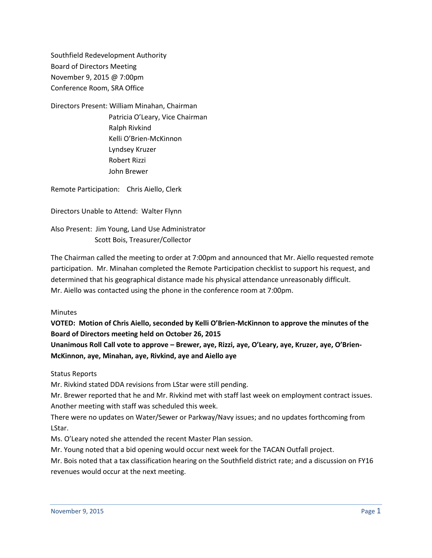Southfield Redevelopment Authority Board of Directors Meeting November 9, 2015 @ 7:00pm Conference Room, SRA Office

Directors Present: William Minahan, Chairman Patricia O'Leary, Vice Chairman Ralph Rivkind Kelli O'Brien-McKinnon Lyndsey Kruzer Robert Rizzi John Brewer

Remote Participation: Chris Aiello, Clerk

Directors Unable to Attend: Walter Flynn

Also Present: Jim Young, Land Use Administrator Scott Bois, Treasurer/Collector

The Chairman called the meeting to order at 7:00pm and announced that Mr. Aiello requested remote participation. Mr. Minahan completed the Remote Participation checklist to support his request, and determined that his geographical distance made his physical attendance unreasonably difficult. Mr. Aiello was contacted using the phone in the conference room at 7:00pm.

Minutes

**VOTED: Motion of Chris Aiello, seconded by Kelli O'Brien-McKinnon to approve the minutes of the Board of Directors meeting held on October 26, 2015**

**Unanimous Roll Call vote to approve – Brewer, aye, Rizzi, aye, O'Leary, aye, Kruzer, aye, O'Brien-McKinnon, aye, Minahan, aye, Rivkind, aye and Aiello aye**

Status Reports

Mr. Rivkind stated DDA revisions from LStar were still pending.

Mr. Brewer reported that he and Mr. Rivkind met with staff last week on employment contract issues. Another meeting with staff was scheduled this week.

There were no updates on Water/Sewer or Parkway/Navy issues; and no updates forthcoming from LStar.

Ms. O'Leary noted she attended the recent Master Plan session.

Mr. Young noted that a bid opening would occur next week for the TACAN Outfall project.

Mr. Bois noted that a tax classification hearing on the Southfield district rate; and a discussion on FY16 revenues would occur at the next meeting.